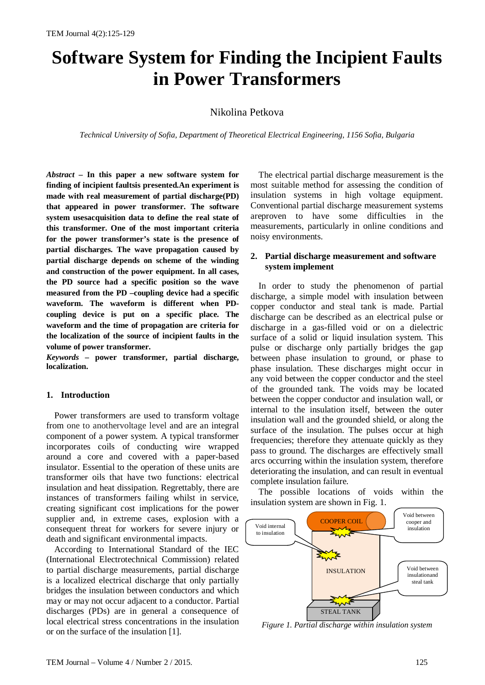# **Software System for Finding the Incipient Faults in Power Transformers**

Nikolina Petkova

*Technical University of Sofia, Department of Theoretical Electrical Engineering, 1156 Sofia, Bulgaria*

*Abstract –* **In this paper a new software system for finding of incipient faultsis presented.An experiment is made with real measurement of partial discharge(PD) that appeared in power transformer. The software system usesacquisition data to define the real state of this transformer. One of the most important criteria for the power transformer's state is the presence of partial discharges. The wave propagation caused by partial discharge depends on scheme of the winding and construction of the power equipment. In all cases, the PD source had a specific position so the wave measured from the PD –coupling device had a specific waveform. The waveform is different when PDcoupling device is put on a specific place. The waveform and the time of propagation are criteria for the localization of the source of incipient faults in the volume of power transformer.** 

*Keywords –* **power transformer, partial discharge, localization.**

## **1. Introduction**

Power transformers are used to transform voltage from one to anothervoltage level and are an integral component of a power system. A typical transformer incorporates coils of conducting wire wrapped around a core and covered with a paper-based insulator. Essential to the operation of these units are transformer oils that have two functions: electrical insulation and heat dissipation. Regrettably, there are instances of transformers failing whilst in service, creating significant cost implications for the power supplier and, in extreme cases, explosion with a consequent threat for workers for severe injury or death and significant environmental impacts.

According to International Standard of the IEC (International Electrotechnical Commission) related to partial discharge measurements, partial discharge is a localized electrical discharge that only partially bridges the insulation between conductors and which may or may not occur adjacent to a conductor. Partial discharges (PDs) are in general a consequence of local electrical stress concentrations in the insulation or on the surface of the insulation [1].

The electrical partial discharge measurement is the most suitable method for assessing the condition of insulation systems in high voltage equipment. Conventional partial discharge measurement systems areproven to have some difficulties in the measurements, particularly in online conditions and noisy environments.

## **2. Partial discharge measurement and software system implement**

In order to study the phenomenon of partial discharge, a simple model with insulation between copper conductor and steal tank is made. Partial discharge can be described as an electrical pulse or discharge in a gas-filled void or on a dielectric surface of a solid or liquid insulation system. This pulse or discharge only partially bridges the gap between phase insulation to ground, or phase to phase insulation. These discharges might occur in any void between the copper conductor and the steel of the grounded tank. The voids may be located between the copper conductor and insulation wall, or internal to the insulation itself, between the outer insulation wall and the grounded shield, or along the surface of the insulation. The pulses occur at high frequencies; therefore they attenuate quickly as they pass to ground. The discharges are effectively small arcs occurring within the insulation system, therefore deteriorating the insulation, and can result in eventual complete insulation failure.

The possible locations of voids within the insulation system are shown in Fig. 1.



*Figure 1. Partial discharge within insulation system*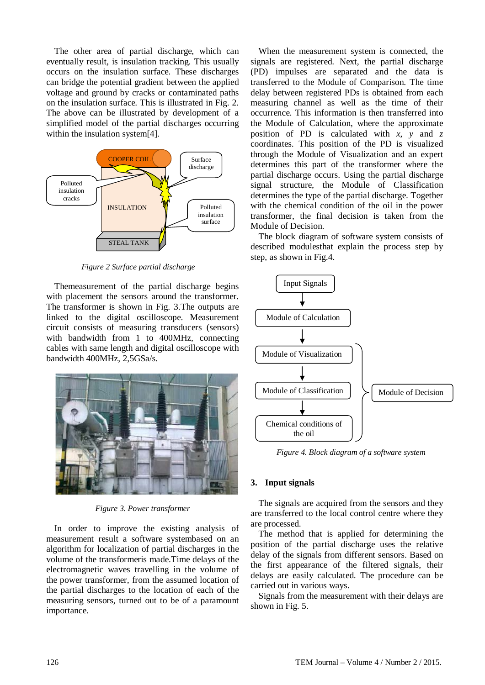The other area of partial discharge, which can eventually result, is insulation tracking. This usually occurs on the insulation surface. These discharges can bridge the potential gradient between the applied voltage and ground by cracks or contaminated paths on the insulation surface. This is illustrated in Fig. 2. The above can be illustrated by development of a simplified model of the partial discharges occurring within the insulation system[4].



 *Figure 2 Surface partial discharge*

Themeasurement of the partial discharge begins with placement the sensors around the transformer. The transformer is shown in Fig. 3.The outputs are linked to the digital oscilloscope. Measurement circuit consists of measuring transducers (sensors) with bandwidth from 1 to 400MHz, connecting cables with same length and digital oscilloscope with bandwidth 400MHz, 2,5GSa/s.



*Figure 3. Power transformer*

In order to improve the existing analysis of measurement result a software systembased on an algorithm for localization of partial discharges in the volume of the transformeris made.Time delays of the electromagnetic waves travelling in the volume of the power transformer, from the assumed location of the partial discharges to the location of each of the measuring sensors, turned out to be of a paramount importance.

When the measurement system is connected, the signals are registered. Next, the partial discharge (PD) impulses are separated and the data is transferred to the Module of Comparison. The time delay between registered PDs is obtained from each measuring channel as well as the time of their occurrence. This information is then transferred into the Module of Calculation, where the approximate position of PD is calculated with  $x$ ,  $y$  and  $z$ coordinates. This position of the PD is visualized through the Module of Visualization and an expert determines this part of the transformer where the partial discharge occurs. Using the partial discharge signal structure, the Module of Classification determines the type of the partial discharge. Together with the chemical condition of the oil in the power transformer, the final decision is taken from the Module of Decision.

The block diagram of software system consists of described modulesthat explain the process step by step, as shown in Fig.4.



*Figure 4. Block diagram of a software system*

## **3. Input signals**

The signals are acquired from the sensors and they are transferred to the local control centre where they are processed.

The method that is applied for determining the position of the partial discharge uses the relative delay of the signals from different sensors. Based on the first appearance of the filtered signals, their delays are easily calculated. The procedure can be carried out in various ways.

Signals from the measurement with their delays are shown in Fig. 5.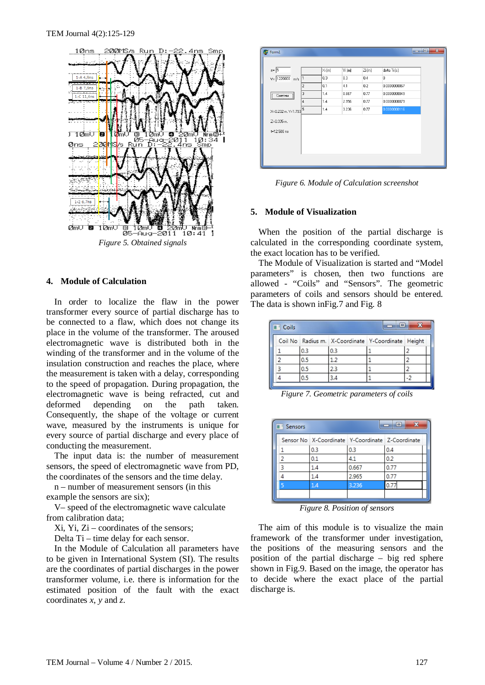

# **4. Module of Calculation**

In order to localize the flaw in the power transformer every source of partial discharge has to be connected to a flaw, which does not change its place in the volume of the transformer. The aroused electromagnetic wave is distributed both in the winding of the transformer and in the volume of the insulation construction and reaches the place, where the measurement is taken with a delay, corresponding to the speed of propagation. During propagation, the electromagnetic wave is being refracted, cut and deformed depending on the path taken. Consequently, the shape of the voltage or current wave, measured by the instruments is unique for every source of partial discharge and every place of conducting the measurement.

The input data is: the number of measurement sensors, the speed of electromagnetic wave from PD, the coordinates of the sensors and the time delay.

n – number of measurement sensors (in this

example the sensors are six);

V– speed of the electromagnetic wave calculate from calibration data;

Xi, Yi, Zi – coordinates of the sensors;

Delta Ti – time delay for each sensor.

In the Module of Calculation all parameters have to be given in International System (SI). The results are the coordinates of partial discharges in the power transformer volume, i.e. there is information for the estimated position of the fault with the exact coordinates *x*, *y* and *z*.

| Form1                               |                |                  |        |          | 画<br><b>ICIDE</b> |
|-------------------------------------|----------------|------------------|--------|----------|-------------------|
| $n = 5$                             |                | $\mathbb{X}$ [m] | Yi [m] | $Zi$ [m] | delta Ti [s]      |
| $V = 1220000$ m/s                   | $\mathbf{1}$   | 0.3              | 0.3    | 0.4      | $\mathbf{0}$      |
|                                     | $\overline{2}$ | 0.1              | 4.1    | 0.2      | 0.0000000067      |
| ,,,,,,,,,,,,,,,,,,,,,,,,,<br>Сметни | 3              | 1.4              | 0.667  | 0.77     | 0.0000000049      |
|                                     | 4              | 1.4              | 2.956  | 0.77     | 0.0000000079      |
| $X=0.232$ m. $Y=1.793$ $\boxed{5}$  |                | 1.4              | 3.236  | 0.77     | 0.0000000116      |
| $Z=0.335$ m.                        |                |                  |        |          |                   |
| t=12.500 ns                         |                |                  |        |          |                   |
|                                     |                |                  |        |          |                   |
|                                     |                |                  |        |          |                   |
|                                     |                |                  |        |          |                   |

*Figure 6. Module of Calculation screenshot*

## **5. Module of Visualization**

When the position of the partial discharge is calculated in the corresponding coordinate system, the exact location has to be verified.

The Module of Visualization is started and "Model parameters" is chosen, then two functions are allowed - "Coils" and "Sensors". The geometric parameters of coils and sensors should be entered. The data is shown in Fig. 7 and Fig. 8

| Coils |     |                                                    | $\equiv$ |     |
|-------|-----|----------------------------------------------------|----------|-----|
|       |     | Coil No Radius m. X-Coordinate Y-Coordinate Height |          |     |
|       | 0.3 | 0.3                                                |          |     |
|       | 0.5 | 1.2                                                |          |     |
|       | 0.5 | 2.3                                                |          |     |
|       | 0.5 | 3.4                                                |          | - 2 |

*Figure 7. Geometric parameters of coils*

| Sensors |                                                  |       | $\overline{\mathbf{x}}$<br>▣ |
|---------|--------------------------------------------------|-------|------------------------------|
|         | Sensor No X-Coordinate Y-Coordinate Z-Coordinate |       |                              |
|         | 0.3                                              | 0.3   | 0.4                          |
| 2       | 0.1                                              | 4.1   | 0.2                          |
| ٦       | 1.4                                              | 0.667 | 0.77                         |
|         | 1.4                                              | 2.965 | 0.77                         |
|         | 1.4                                              | 3.236 | 0.7                          |
|         |                                                  |       |                              |

*Figure 8. Position of sensors*

The aim of this module is to visualize the main framework of the transformer under investigation, the positions of the measuring sensors and the position of the partial discharge – big red sphere shown in Fig.9. Based on the image, the operator has to decide where the exact place of the partial discharge is.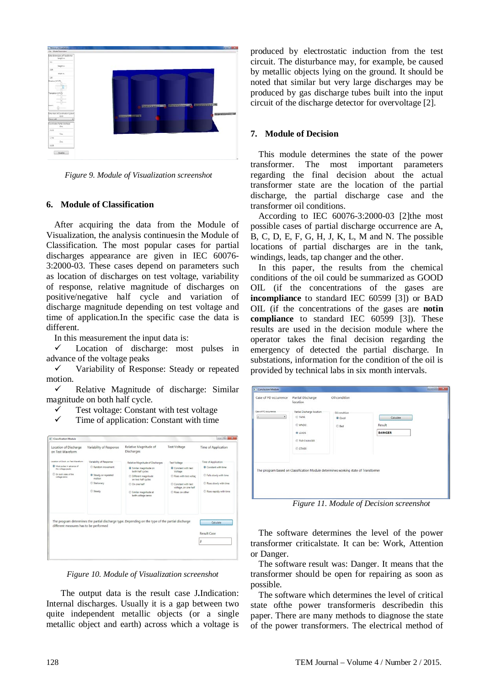

 *Figure 9. Module of Visualization screenshot*

# **6. Module of Classification**

After acquiring the data from the Module of Visualization, the analysis continuesin the Module of Classification. The most popular cases for partial discharges appearance are given in IEC 60076- 3:2000-03. These cases depend on parameters such as location of discharges on test voltage, variability of response, relative magnitude of discharges on positive/negative half cycle and variation of discharge magnitude depending on test voltage and time of application.In the specific case the data is different.

In this measurement the input data is:

 Location of discharge: most pulses in advance of the voltage peaks

 $\checkmark$  Variability of Response: Steady or repeated motion.

 $\checkmark$  Relative Magnitude of discharge: Similar magnitude on both half cycle.

Test voltage: Constant with test voltage

Time of application: Constant with time

| Location of Discharge<br>on Test Waveform                                                                                                        | Variability of Response                                                                            | Relative Magnitude of<br>Discharges                                                                                                                                                          | <b>Test Voltage</b>                                                                                                                            | Time of Application                                                                                                      |
|--------------------------------------------------------------------------------------------------------------------------------------------------|----------------------------------------------------------------------------------------------------|----------------------------------------------------------------------------------------------------------------------------------------------------------------------------------------------|------------------------------------------------------------------------------------------------------------------------------------------------|--------------------------------------------------------------------------------------------------------------------------|
| Location of Disch, on Test Waveform<br><sup>(b)</sup> Most pulses in advance of<br>the voltage peaks<br>C) On both sides of the<br>voltage zeros | Variability of Response<br>Random movement<br>Steady or repeated<br>motion<br>Stationary<br>Steady | Relative Magnitude of Discharges<br>· Similar magnitude on<br>both half cycles<br>© Different magnitude<br>on two half cycles<br>C On one half<br>Similar magnitude at<br>both voltage zeros | <b>Test Voltage</b><br>Constant with test<br>Voltage<br>Rises with test voltac<br>Constant with test<br>voltage, on one half<br>Rises on other | Time of Application<br>Constant with time<br>Falls slowly with time<br>Rises slowly with time<br>Rises rapidly with time |
| different measures has to be performed                                                                                                           |                                                                                                    | The program determines the partial discharge type. Depending on the type of the partial discharge                                                                                            |                                                                                                                                                | Calculate<br>Result Case<br>J                                                                                            |

*Figure 10. Module of Visualization screenshot*

The output data is the result case J**.**Indication: Internal discharges. Usually it is a gap between two quite independent metallic objects (or a single metallic object and earth) across which a voltage is

produced by electrostatic induction from the test circuit. The disturbance may, for example, be caused by metallic objects lying on the ground. It should be noted that similar but very large discharges may be produced by gas discharge tubes built into the input circuit of the discharge detector for overvoltage [2].

## **7. Module of Decision**

This module determines the state of the power transformer. The most important parameters regarding the final decision about the actual transformer state are the location of the partial discharge, the partial discharge case and the transformer oil conditions.

According to IEC 60076-3:2000-03 [2]the most possible cases of partial discharge occurrence are A, B, C, D, E, F, G, H, J, K, L, M and N. The possible locations of partial discharges are in the tank, windings, leads, tap changer and the other.

In this paper, the results from the chemical conditions of the oil could be summarized as GOOD OIL (if the concentrations of the gases are **incompliance** to standard IEC 60599 [3]) or BAD OIL (if the concentrations of the gases are **notin compliance** to standard IEC 60599 [3]). These results are used in the decision module where the operator takes the final decision regarding the emergency of detected the partial discharge. In substations, information for the condition of the oil is provided by technical labs in six month intervals.

| Case of PD occurrence                   | Partial Discharge<br>location                                                                                                            | Oil condition                                                                      |                                      |  |
|-----------------------------------------|------------------------------------------------------------------------------------------------------------------------------------------|------------------------------------------------------------------------------------|--------------------------------------|--|
| Case of PD occurrence<br>$\bullet$<br>u | Contact Committee Contact Contact<br>Partial Discharge location<br><b>C TANK</b><br>C WNDG<br><b>B</b> LEADS<br>C TAP CHANGER<br>C OTHER | Oil condition<br><b>B</b> Good<br>C flad                                           | Calculate<br>Result<br><b>DANGER</b> |  |
|                                         |                                                                                                                                          | The program based on Classification Module determines working state of Transformer |                                      |  |

*Figure 11. Module of Decision screenshot*

The software determines the level of the power transformer criticalstate. It can be: Work, Attention or Danger.

The software result was: Danger. It means that the transformer should be open for repairing as soon as possible.

The software which determines the level of critical state ofthe power transformeris describedin this paper. There are many methods to diagnose the state of the power transformers. The electrical method of